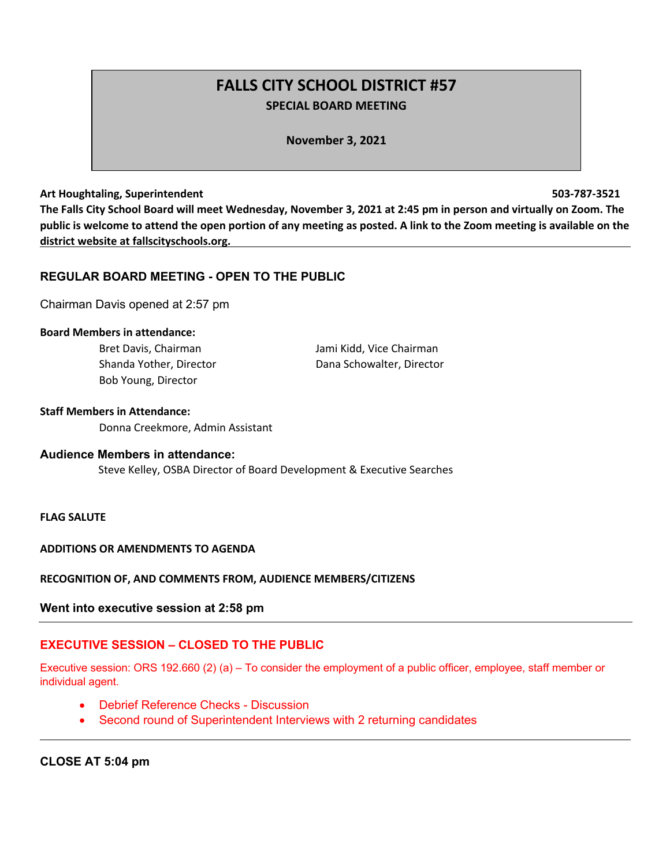# **FALLS CITY SCHOOL DISTRICT #57 SPECIAL BOARD MEETING**

**November 3, 2021**

#### **Art Houghtaling, Superintendent 503-787-3521**

**The Falls City School Board will meet Wednesday, November 3, 2021 at 2:45 pm in person and virtually on Zoom. The public is welcome to attend the open portion of any meeting as posted. A link to the Zoom meeting is available on the district website at fallscityschools.org.**

# **REGULAR BOARD MEETING - OPEN TO THE PUBLIC**

Chairman Davis opened at 2:57 pm

#### **Board Members in attendance:**

Bob Young, Director

Bret Davis, Chairman Jami Kidd, Vice Chairman Shanda Yother, Director **Dana Schowalter, Director** 

#### **Staff Members in Attendance:**

Donna Creekmore, Admin Assistant

## **Audience Members in attendance:**

Steve Kelley, OSBA Director of Board Development & Executive Searches

# **FLAG SALUTE**

#### **ADDITIONS OR AMENDMENTS TO AGENDA**

#### **RECOGNITION OF, AND COMMENTS FROM, AUDIENCE MEMBERS/CITIZENS**

#### **Went into executive session at 2:58 pm**

#### **EXECUTIVE SESSION – CLOSED TO THE PUBLIC**

Executive session: ORS 192.660 (2) (a) – To consider the employment of a public officer, employee, staff member or individual agent.

- Debrief Reference Checks Discussion
- Second round of Superintendent Interviews with 2 returning candidates